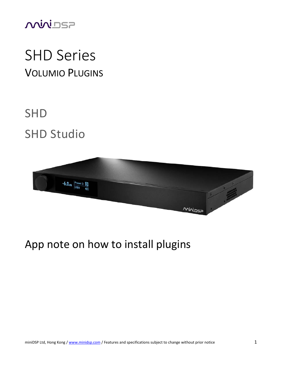

# SHD Series VOLUMIO PLUGINS

# SHD SHD Studio



### App note on how to install plugins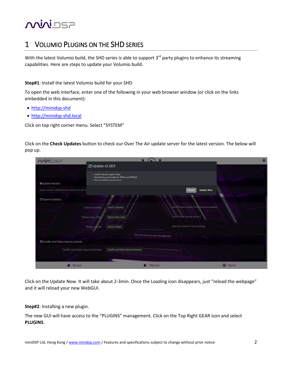## **MUNISP**

### 1 VOLUMIO PLUGINS ON THE SHD SERIES

With the latest Volumio build, the SHD series is able to support  $3<sup>rd</sup>$  party plugins to enhance its streaming capabilities. Here are steps to update your Volumio build.

#### **Step#1**: Install the latest Volumio build for your SHD

To open the web interface, enter one of the following in your web browser window (or click on the links embedded in this document):

- [http://minidsp-shd](http://minidsp-shd/)
- [http://minidsp-shd.local](http://minidsp-shd.local/)

Click on top right corner menu. Select "SYSTEM"

Click on the **Check Updates** button to check our Over The Air update server for the latest version. The below will pop up.

| <b>MUNISP</b>                                     | <b>M</b>                                                                                                              | $\bullet$                                           |
|---------------------------------------------------|-----------------------------------------------------------------------------------------------------------------------|-----------------------------------------------------|
| C Update v1.003                                   |                                                                                                                       |                                                     |
|                                                   | · Added Volumio plugin facility<br>- Several fixes and tweaks for TIDAL and QOBUZ<br>- Several stability improvements |                                                     |
| <b>O</b> System Version                           |                                                                                                                       |                                                     |
| System Version: 1.001 Released: Wed Oct 24 15:14: |                                                                                                                       | Cancel<br><b>Update Now</b>                         |
| C System Updates                                  |                                                                                                                       |                                                     |
| Check Updates                                     | <b>Check Updates</b>                                                                                                  | Check if newer versions of the system are available |
| Delete User Data                                  | Delete User Data                                                                                                      | Delete all your settings and data                   |
| <b>Factory Reset</b>                              | <b>Factory Reset</b>                                                                                                  | Reset your System to factory Settings               |
|                                                   | _______________                                                                                                       |                                                     |
| <b>O</b> Credits And Open Source Licenses         |                                                                                                                       |                                                     |
| Credits And Open Source Licenses                  | Credits and Open Source licenses                                                                                      |                                                     |
|                                                   |                                                                                                                       |                                                     |
| Browse                                            | Playback                                                                                                              | Queue                                               |

Click on the Update Now. It will take about 2-3min. Once the Loading icon disappears, just "reload the webpage" and it will reload your new WebGUI.

**Step#2**: Installing a new plugin.

The new GUI will have access to the "PLUGINS" management. Click on the Top Right GEAR icon and select **PLUGINS**.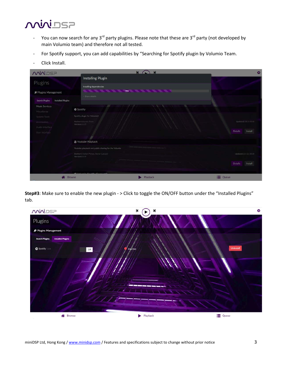### **MUNISP**

- You can now search for any 3<sup>rd</sup> party plugins. Please note that these are 3<sup>rd</sup> party (not developed by main Volumio team) and therefore not all tested.
- For Spotify support, you can add capabilities by "Searching for Spotify plugin by Volumio Team.
- Click Install.

| <b>MUVIDSP</b>                             |                                                         | $\overline{M}$<br>$\blacksquare$ | O.                        |
|--------------------------------------------|---------------------------------------------------------|----------------------------------|---------------------------|
|                                            | Installing Plugin                                       |                                  |                           |
| Plugins                                    | Installing dependencies                                 |                                  |                           |
| <b>⊮</b> Plugins Management                | + Show details                                          | 70%                              |                           |
| Search Plugins<br><b>Installed Plugins</b> |                                                         |                                  |                           |
| Music Services<br>Miscellanea              | Spotify                                                 |                                  |                           |
| System Tools                               | Spotify plugin for Volumio2                             |                                  |                           |
| Arcessorius                                | Author: Volumia Team<br>Version:1.3.5                   |                                  | Updated:18-2-2018         |
| Audio Interface                            |                                                         |                                  |                           |
| User Interface                             |                                                         |                                  | <b>Details</b><br>Install |
|                                            | Youtube Playback                                        |                                  |                           |
|                                            | Youtube playback and public sharing for the Volumio     |                                  |                           |
|                                            | Author:Cristian Pintea, Stefan Laesser<br>Version:0.0.9 |                                  | Updated:16-11-2018        |
|                                            |                                                         |                                  | Install<br><b>Details</b> |
|                                            | $\mathcal{L}$                                           |                                  |                           |
| <b>Browse</b>                              |                                                         | Playback                         | <b>E</b> Queue            |

**Step#3**: Make sure to enable the new plugin - > Click to toggle the ON/OFF button under the "Installed Plugins" tab.